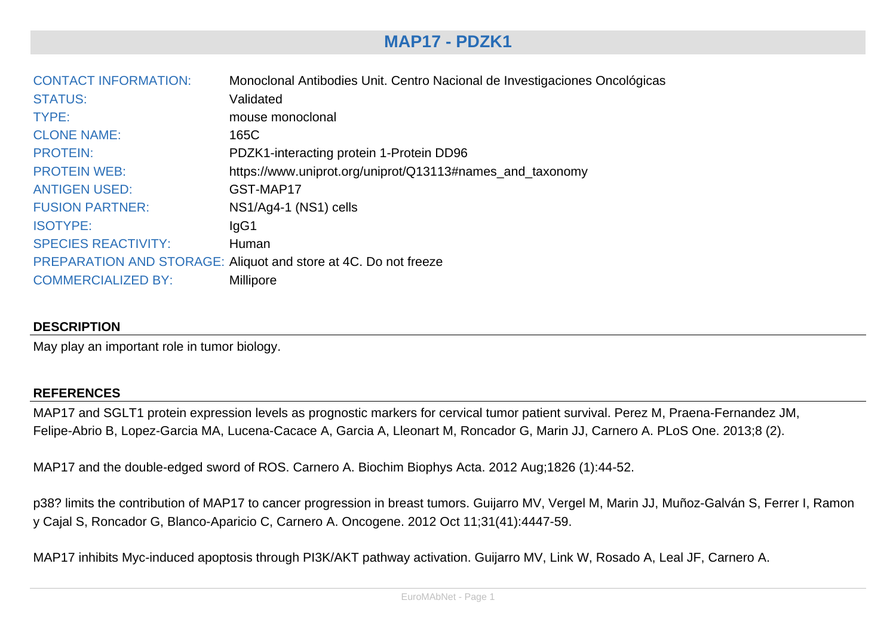# **MAP17 - PDZK1**

| <b>CONTACT INFORMATION:</b> | Monoclonal Antibodies Unit. Centro Nacional de Investigaciones Oncológicas |
|-----------------------------|----------------------------------------------------------------------------|
| <b>STATUS:</b>              | Validated                                                                  |
| TYPE:                       | mouse monoclonal                                                           |
| <b>CLONE NAME:</b>          | 165C                                                                       |
| <b>PROTEIN:</b>             | PDZK1-interacting protein 1-Protein DD96                                   |
| <b>PROTEIN WEB:</b>         | https://www.uniprot.org/uniprot/Q13113#names_and_taxonomy                  |
| <b>ANTIGEN USED:</b>        | GST-MAP17                                                                  |
| <b>FUSION PARTNER:</b>      | NS1/Ag4-1 (NS1) cells                                                      |
| <b>ISOTYPE:</b>             | lgG1                                                                       |
| <b>SPECIES REACTIVITY:</b>  | Human                                                                      |
|                             | PREPARATION AND STORAGE: Aliquot and store at 4C. Do not freeze            |
| <b>COMMERCIALIZED BY:</b>   | Millipore                                                                  |

### **DESCRIPTION**

May play an important role in tumor biology.

#### **REFERENCES**

MAP17 and SGLT1 protein expression levels as prognostic markers for cervical tumor patient survival. Perez M, Praena-Fernandez JM, Felipe-Abrio B, Lopez-Garcia MA, Lucena-Cacace A, Garcia A, Lleonart M, Roncador G, Marin JJ, Carnero A. PLoS One. 2013;8 (2).

MAP17 and the double-edged sword of ROS. Carnero A. Biochim Biophys Acta. 2012 Aug;1826 (1):44-52.

p38? limits the contribution of MAP17 to cancer progression in breast tumors. Guijarro MV, Vergel M, Marin JJ, Muñoz-Galván S, Ferrer I, Ramon y Cajal S, Roncador G, Blanco-Aparicio C, Carnero A. Oncogene. 2012 Oct 11;31(41):4447-59.

MAP17 inhibits Myc-induced apoptosis through PI3K/AKT pathway activation. Guijarro MV, Link W, Rosado A, Leal JF, Carnero A.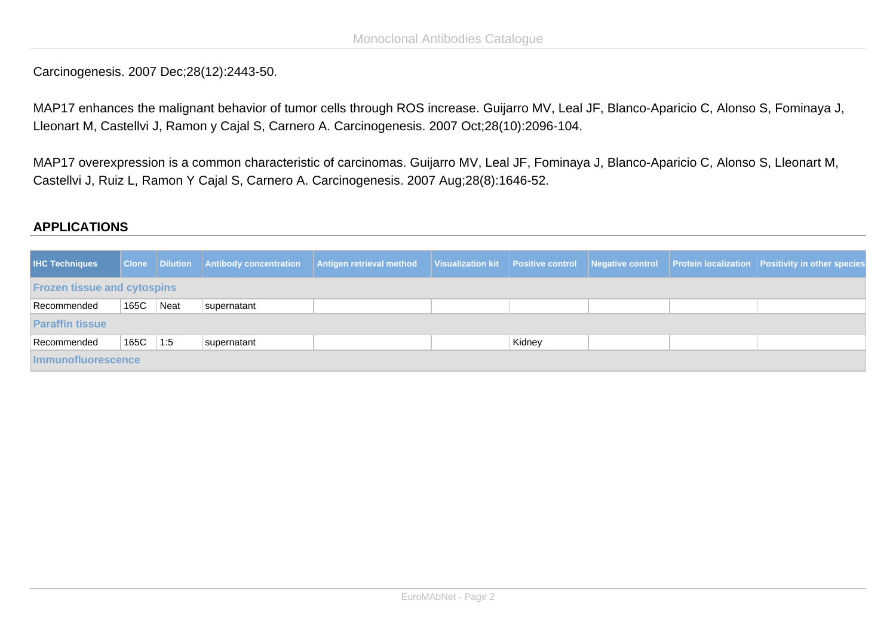Carcinogenesis. 2007 Dec;28(12):2443-50.

MAP17 enhances the malignant behavior of tumor cells through ROS increase. Guijarro MV, Leal JF, Blanco-Aparicio C, Alonso S, Fominaya J, Lleonart M, Castellvi J, Ramon y Cajal S, Carnero A. Carcinogenesis. 2007 Oct;28(10):2096-104.

MAP17 overexpression is a common characteristic of carcinomas. Guijarro MV, Leal JF, Fominaya J, Blanco-Aparicio C, Alonso S, Lleonart M, Castellvi J, Ruiz L, Ramon Y Cajal S, Carnero A. Carcinogenesis. 2007 Aug;28(8):1646-52.

## **APPLICATIONS**

| <b>IHC Techniques</b>              |      |             | Clone   Dilution   Antibody concentration   Antigen retrieval method |  |  |        |  |  | Visualization kit Positive control Negative control Protein localization Positivity in other species |
|------------------------------------|------|-------------|----------------------------------------------------------------------|--|--|--------|--|--|------------------------------------------------------------------------------------------------------|
| <b>Frozen tissue and cytospins</b> |      |             |                                                                      |  |  |        |  |  |                                                                                                      |
| Recommended                        | 165C | Neat        | supernatant                                                          |  |  |        |  |  |                                                                                                      |
| <b>Paraffin tissue</b>             |      |             |                                                                      |  |  |        |  |  |                                                                                                      |
| Recommended                        | 165C | $\vert$ 1:5 | supernatant                                                          |  |  | Kidney |  |  |                                                                                                      |
| <b>Immunofluorescence</b>          |      |             |                                                                      |  |  |        |  |  |                                                                                                      |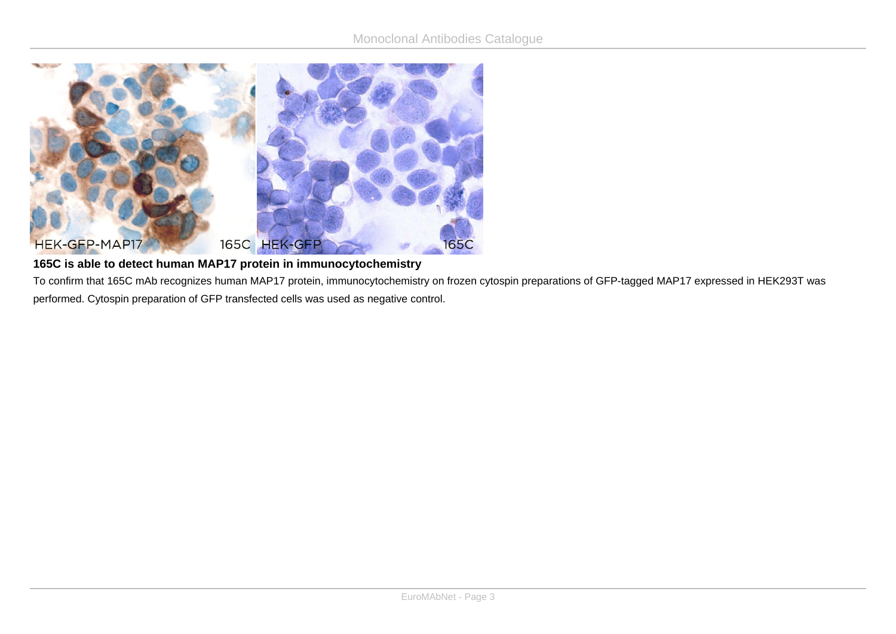

## **165C is able to detect human MAP17 protein in immunocytochemistry**

To confirm that 165C mAb recognizes human MAP17 protein, immunocytochemistry on frozen cytospin preparations of GFP-tagged MAP17 expressed in HEK293T was performed. Cytospin preparation of GFP transfected cells was used as negative control.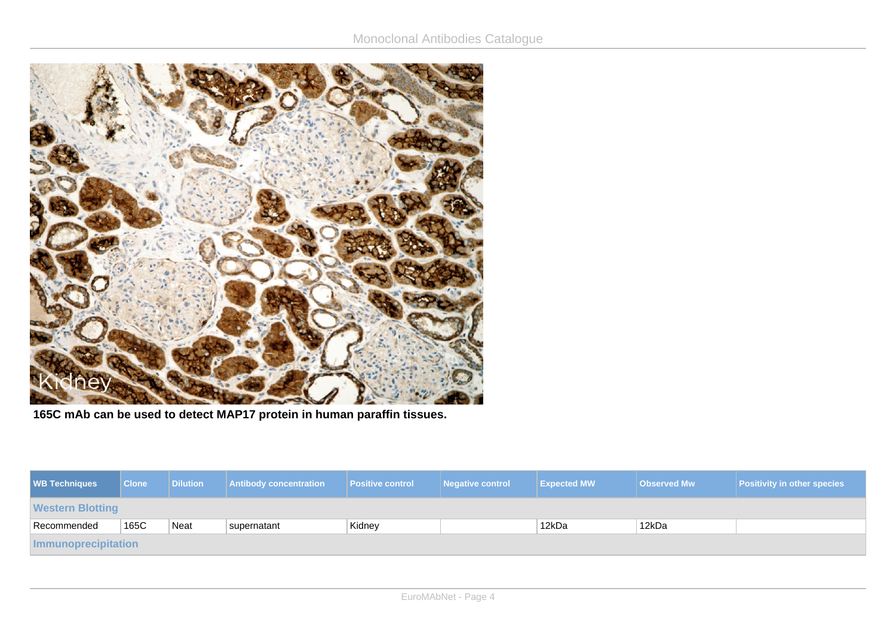

**165C mAb can be used to detect MAP17 protein in human paraffin tissues.**

| <b>WB Techniques</b>    | <b>Clone</b> | <b>Dilution</b> | <b>Antibody concentration</b> | <b>Positive control</b> | Negative control | <b>Expected MW</b> | <b>Observed Mw</b> | <b>Positivity in other species</b> |
|-------------------------|--------------|-----------------|-------------------------------|-------------------------|------------------|--------------------|--------------------|------------------------------------|
| <b>Western Blotting</b> |              |                 |                               |                         |                  |                    |                    |                                    |
| Recommended             | 165C         | Neat            | supernatant                   | Kidney                  |                  | 12kDa              | 12kDa              |                                    |
| Immunoprecipitation     |              |                 |                               |                         |                  |                    |                    |                                    |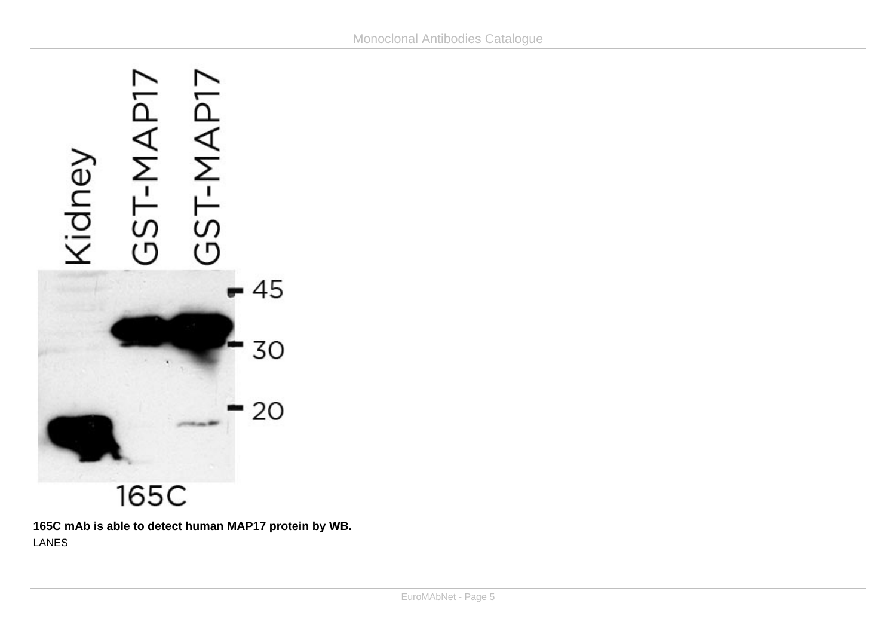

**165C mAb is able to detect human MAP17 protein by WB.** LANES